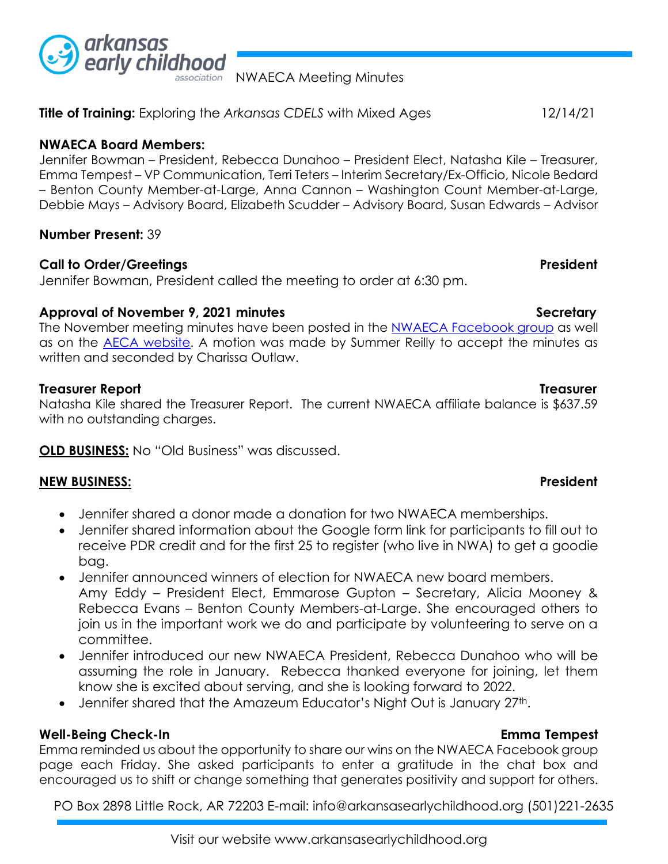

association NWAECA Meeting Minutes

**Title of Training:** Exploring the *Arkansas CDELS* with Mixed Ages12/14/21

# **NWAECA Board Members:**

Jennifer Bowman – President, Rebecca Dunahoo – President Elect, Natasha Kile – Treasurer, Emma Tempest – VP Communication, Terri Teters – Interim Secretary/Ex-Officio, Nicole Bedard – Benton County Member-at-Large, Anna Cannon – Washington Count Member-at-Large, Debbie Mays – Advisory Board, Elizabeth Scudder – Advisory Board, Susan Edwards – Advisor

# **Number Present:** 39

# **Call to Order/Greetings President**

Jennifer Bowman, President called the meeting to order at 6:30 pm.

# Approval of November 9, 2021 minutes **Secretary** Secretary

The November meeting minutes have been posted in the [NWAECA Facebook group](https://www.facebook.com/groups/nwaeca) as well as on the [AECA website.](http://www.arkansasearlychildhood.org/) A motion was made by Summer Reilly to accept the minutes as written and seconded by Charissa Outlaw.

# **Treasurer Report Treasurer**

Natasha Kile shared the Treasurer Report. The current NWAECA affiliate balance is \$637.59 with no outstanding charges.

**OLD BUSINESS:** No "Old Business" was discussed.

## **NEW BUSINESS: President**

- Jennifer shared a donor made a donation for two NWAECA memberships.
- Jennifer shared information about the Google form link for participants to fill out to receive PDR credit and for the first 25 to register (who live in NWA) to get a goodie bag.
- Jennifer announced winners of election for NWAECA new board members. Amy Eddy – President Elect, Emmarose Gupton – Secretary, Alicia Mooney & Rebecca Evans – Benton County Members-at-Large. She encouraged others to join us in the important work we do and participate by volunteering to serve on a committee.
- Jennifer introduced our new NWAECA President, Rebecca Dunahoo who will be assuming the role in January. Rebecca thanked everyone for joining, let them know she is excited about serving, and she is looking forward to 2022.
- Jennifer shared that the Amazeum Educator's Night Out is January 27<sup>th</sup>.

## **Well-Being Check-In Emma Tempest**

Emma reminded us about the opportunity to share our wins on the NWAECA Facebook group page each Friday. She asked participants to enter a gratitude in the chat box and encouraged us to shift or change something that generates positivity and support for others.

PO Box 2898 Little Rock, AR 72203 E-mail: info@arkansasearlychildhood.org (501)221-2635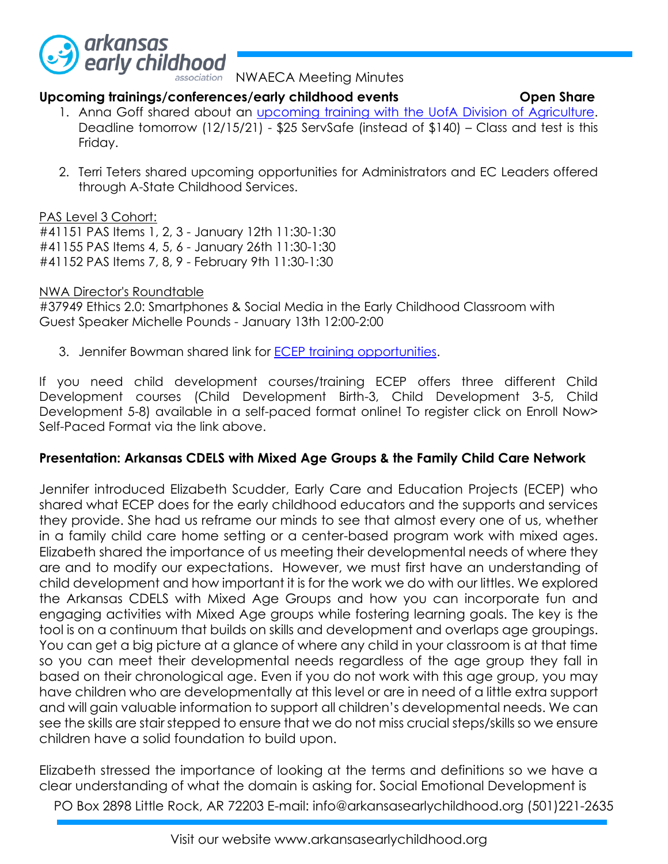

association NWAECA Meeting Minutes

## **Upcoming trainings/conferences/early childhood events Open Share**

- 1. Anna Goff shared about an *upcoming training with the UofA Division of Agriculture*. Deadline tomorrow (12/15/21) - \$25 ServSafe (instead of \$140) – Class and test is this Friday.
- 2. Terri Teters shared upcoming opportunities for Administrators and EC Leaders offered through A-State Childhood Services.

## PAS Level 3 Cohort:

#41151 PAS Items 1, 2, 3 - January 12th 11:30-1:30 #41155 PAS Items 4, 5, 6 - January 26th 11:30-1:30 #41152 PAS Items 7, 8, 9 - February 9th 11:30-1:30

# NWA Director's Roundtable

#37949 Ethics 2.0: Smartphones & Social Media in the Early Childhood Classroom with Guest Speaker Michelle Pounds - January 13th 12:00-2:00

3. Jennifer Bowman shared link for **ECEP** training opportunities.

If you need child development courses/training ECEP offers three different Child Development courses (Child Development Birth-3, Child Development 3-5, Child Development 5-8) available in a self-paced format online! To register click on Enroll Now> Self-Paced Format via the link above.

# **Presentation: Arkansas CDELS with Mixed Age Groups & the Family Child Care Network**

Jennifer introduced Elizabeth Scudder, Early Care and Education Projects (ECEP) who shared what ECEP does for the early childhood educators and the supports and services they provide. She had us reframe our minds to see that almost every one of us, whether in a family child care home setting or a center-based program work with mixed ages. Elizabeth shared the importance of us meeting their developmental needs of where they are and to modify our expectations. However, we must first have an understanding of child development and how important it is for the work we do with our littles. We explored the Arkansas CDELS with Mixed Age Groups and how you can incorporate fun and engaging activities with Mixed Age groups while fostering learning goals. The key is the tool is on a continuum that builds on skills and development and overlaps age groupings. You can get a big picture at a glance of where any child in your classroom is at that time so you can meet their developmental needs regardless of the age group they fall in based on their chronological age. Even if you do not work with this age group, you may have children who are developmentally at this level or are in need of a little extra support and will gain valuable information to support all children's developmental needs. We can see the skills are stair stepped to ensure that we do not miss crucial steps/skills so we ensure children have a solid foundation to build upon.

PO Box 2898 Little Rock, AR 72203 E-mail: info@arkansasearlychildhood.org (501)221-2635 Elizabeth stressed the importance of looking at the terms and definitions so we have a clear understanding of what the domain is asking for. Social Emotional Development is